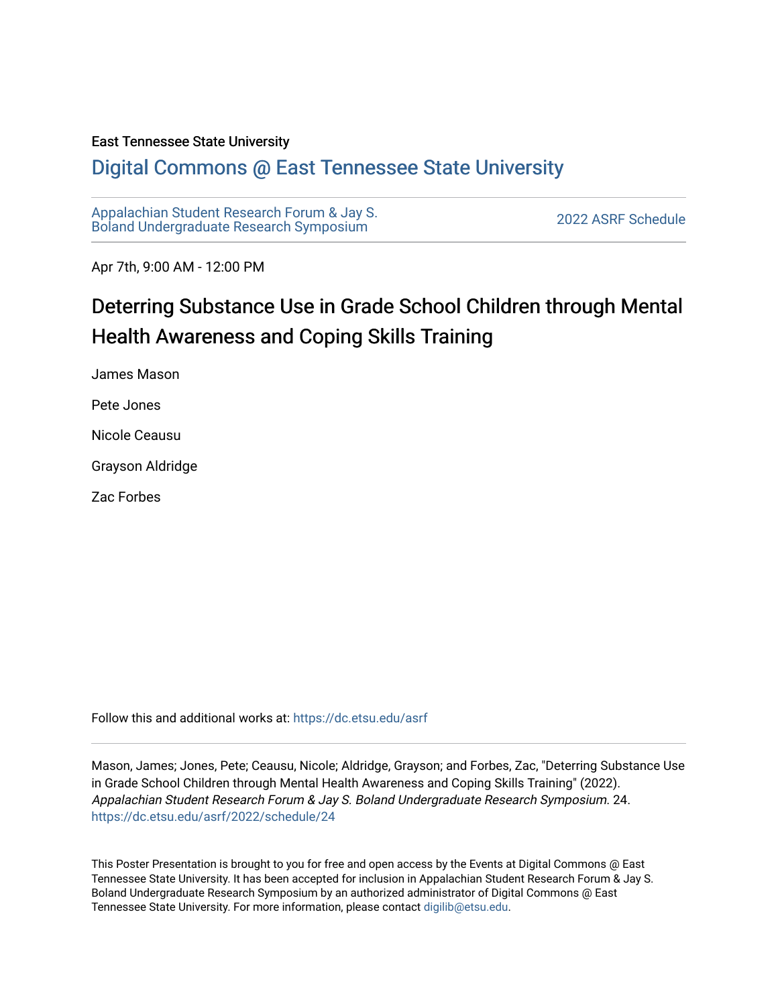#### East Tennessee State University

#### [Digital Commons @ East Tennessee State University](https://dc.etsu.edu/)

[Appalachian Student Research Forum & Jay S.](https://dc.etsu.edu/asrf)  Appalactifalt Student Research Forum & Jay S.<br>Boland Undergraduate Research Symposium

Apr 7th, 9:00 AM - 12:00 PM

## Deterring Substance Use in Grade School Children through Mental Health Awareness and Coping Skills Training

James Mason

Pete Jones

Nicole Ceausu

Grayson Aldridge

Zac Forbes

Follow this and additional works at: [https://dc.etsu.edu/asrf](https://dc.etsu.edu/asrf?utm_source=dc.etsu.edu%2Fasrf%2F2022%2Fschedule%2F24&utm_medium=PDF&utm_campaign=PDFCoverPages) 

Mason, James; Jones, Pete; Ceausu, Nicole; Aldridge, Grayson; and Forbes, Zac, "Deterring Substance Use in Grade School Children through Mental Health Awareness and Coping Skills Training" (2022). Appalachian Student Research Forum & Jay S. Boland Undergraduate Research Symposium. 24. [https://dc.etsu.edu/asrf/2022/schedule/24](https://dc.etsu.edu/asrf/2022/schedule/24?utm_source=dc.etsu.edu%2Fasrf%2F2022%2Fschedule%2F24&utm_medium=PDF&utm_campaign=PDFCoverPages) 

This Poster Presentation is brought to you for free and open access by the Events at Digital Commons @ East Tennessee State University. It has been accepted for inclusion in Appalachian Student Research Forum & Jay S. Boland Undergraduate Research Symposium by an authorized administrator of Digital Commons @ East Tennessee State University. For more information, please contact [digilib@etsu.edu](mailto:digilib@etsu.edu).